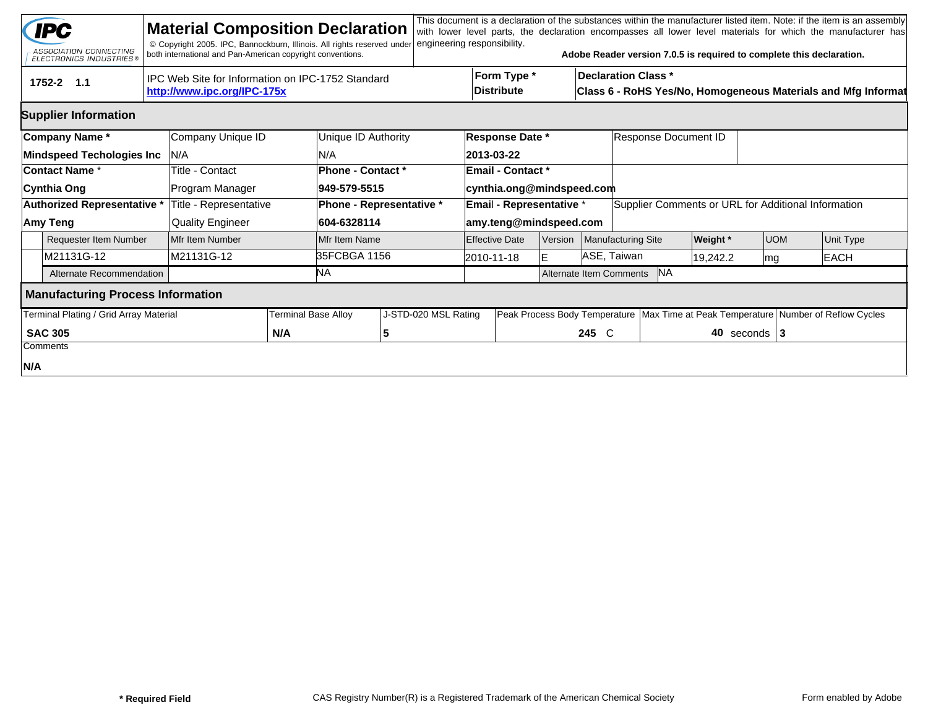|                | <b>IPC</b><br>ASSOCIATION CONNECTING<br><b>ELECTRONICS INDUSTRIES®</b> |                                                   | <b>Material Composition Declaration</b><br>© Copyright 2005. IPC, Bannockburn, Illinois. All rights reserved under<br>both international and Pan-American copyright conventions. |                                                                                                                          |                          | engineering responsibility. |  |                           |         |                                                                                        | Adobe Reader version 7.0.5 is required to complete this declaration. |                      |                  |  | This document is a declaration of the substances within the manufacturer listed item. Note: if the item is an assembly<br>with lower level parts, the declaration encompasses all lower level materials for which the manufacturer has |  |
|----------------|------------------------------------------------------------------------|---------------------------------------------------|----------------------------------------------------------------------------------------------------------------------------------------------------------------------------------|--------------------------------------------------------------------------------------------------------------------------|--------------------------|-----------------------------|--|---------------------------|---------|----------------------------------------------------------------------------------------|----------------------------------------------------------------------|----------------------|------------------|--|----------------------------------------------------------------------------------------------------------------------------------------------------------------------------------------------------------------------------------------|--|
|                | 1752-2 1.1                                                             | IPC Web Site for Information on IPC-1752 Standard |                                                                                                                                                                                  | Form Type *<br><b>Declaration Class *</b><br>Distribute<br>Class 6 - RoHS Yes/No, Homogeneous Materials and Mfg Informat |                          |                             |  |                           |         |                                                                                        |                                                                      |                      |                  |  |                                                                                                                                                                                                                                        |  |
|                | <b>Supplier Information</b>                                            |                                                   |                                                                                                                                                                                  |                                                                                                                          |                          |                             |  |                           |         |                                                                                        |                                                                      |                      |                  |  |                                                                                                                                                                                                                                        |  |
|                | Company Name*                                                          |                                                   | Company Unique ID                                                                                                                                                                |                                                                                                                          | Unique ID Authority      |                             |  | Response Date *           |         |                                                                                        |                                                                      | Response Document ID |                  |  |                                                                                                                                                                                                                                        |  |
|                | <b>Mindspeed Techologies Inc</b>                                       |                                                   | IN/A                                                                                                                                                                             |                                                                                                                          | N/A                      |                             |  | 2013-03-22                |         |                                                                                        |                                                                      |                      |                  |  |                                                                                                                                                                                                                                        |  |
| Contact Name * |                                                                        |                                                   | Title - Contact                                                                                                                                                                  |                                                                                                                          | Phone - Contact *        |                             |  | <b>Email - Contact *</b>  |         |                                                                                        |                                                                      |                      |                  |  |                                                                                                                                                                                                                                        |  |
|                | Cynthia Ong                                                            |                                                   | Program Manager                                                                                                                                                                  |                                                                                                                          | 949-579-5515             |                             |  | cynthia.ong@mindspeed.com |         |                                                                                        |                                                                      |                      |                  |  |                                                                                                                                                                                                                                        |  |
|                | Authorized Representative *                                            |                                                   | Title - Representative                                                                                                                                                           |                                                                                                                          | Phone - Representative * |                             |  | Email - Representative *  |         |                                                                                        | Supplier Comments or URL for Additional Information                  |                      |                  |  |                                                                                                                                                                                                                                        |  |
|                | Amy Teng                                                               |                                                   | <b>Quality Engineer</b>                                                                                                                                                          |                                                                                                                          | 604-6328114              |                             |  | amy.teng@mindspeed.com    |         |                                                                                        |                                                                      |                      |                  |  |                                                                                                                                                                                                                                        |  |
|                | <b>Requester Item Number</b>                                           |                                                   | Mfr Item Number                                                                                                                                                                  |                                                                                                                          | Mfr Item Name            |                             |  | <b>Effective Date</b>     | Version |                                                                                        | Manufacturing Site                                                   | <b>Weight</b> *      | <b>UOM</b>       |  | Unit Type                                                                                                                                                                                                                              |  |
|                | M21131G-12                                                             |                                                   | M21131G-12                                                                                                                                                                       |                                                                                                                          |                          | 35FCBGA 1156                |  | 2010-11-18                |         | ASE, Taiwan                                                                            |                                                                      | 19,242.2             | mg               |  | <b>EACH</b>                                                                                                                                                                                                                            |  |
|                | Alternate Recommendation                                               |                                                   |                                                                                                                                                                                  |                                                                                                                          | NA.                      |                             |  |                           |         | <b>NA</b><br>Alternate Item Comments                                                   |                                                                      |                      |                  |  |                                                                                                                                                                                                                                        |  |
|                | <b>Manufacturing Process Information</b>                               |                                                   |                                                                                                                                                                                  |                                                                                                                          |                          |                             |  |                           |         |                                                                                        |                                                                      |                      |                  |  |                                                                                                                                                                                                                                        |  |
|                | Terminal Plating / Grid Array Material                                 | <b>Terminal Base Alloy</b>                        |                                                                                                                                                                                  | J-STD-020 MSL Rating                                                                                                     |                          |                             |  |                           |         | Peak Process Body Temperature   Max Time at Peak Temperature   Number of Reflow Cycles |                                                                      |                      |                  |  |                                                                                                                                                                                                                                        |  |
|                | <b>SAC 305</b>                                                         |                                                   |                                                                                                                                                                                  | N/A                                                                                                                      | 5                        |                             |  | 245 C                     |         |                                                                                        |                                                                      |                      | 40 seconds $ 3 $ |  |                                                                                                                                                                                                                                        |  |
|                | Comments                                                               |                                                   |                                                                                                                                                                                  |                                                                                                                          |                          |                             |  |                           |         |                                                                                        |                                                                      |                      |                  |  |                                                                                                                                                                                                                                        |  |
| N/A            |                                                                        |                                                   |                                                                                                                                                                                  |                                                                                                                          |                          |                             |  |                           |         |                                                                                        |                                                                      |                      |                  |  |                                                                                                                                                                                                                                        |  |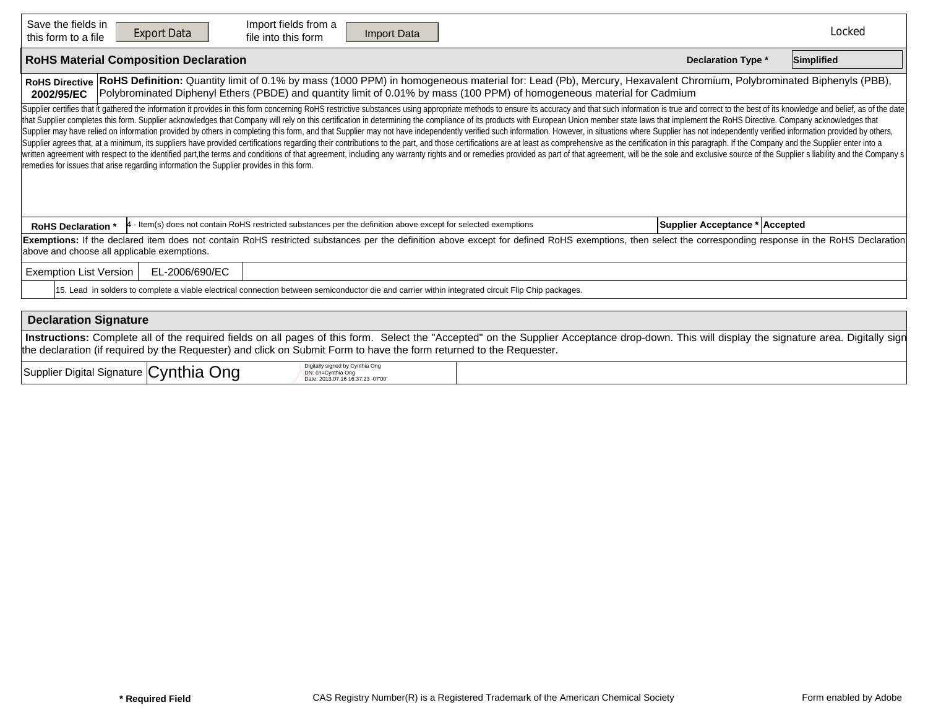| Save the fields in<br>Import fields from a<br><b>Export Data</b><br>Import Data<br>file into this form<br>this form to a file                                                                                                                                                                                                                                                                                                                                                                                                                                                                                                                                                                                                                                                                                                                                                                                                                                                                                                                                                                                                                                                                                                                                     |                                | Locked     |  |  |  |  |  |  |  |  |  |
|-------------------------------------------------------------------------------------------------------------------------------------------------------------------------------------------------------------------------------------------------------------------------------------------------------------------------------------------------------------------------------------------------------------------------------------------------------------------------------------------------------------------------------------------------------------------------------------------------------------------------------------------------------------------------------------------------------------------------------------------------------------------------------------------------------------------------------------------------------------------------------------------------------------------------------------------------------------------------------------------------------------------------------------------------------------------------------------------------------------------------------------------------------------------------------------------------------------------------------------------------------------------|--------------------------------|------------|--|--|--|--|--|--|--|--|--|
| <b>RoHS Material Composition Declaration</b>                                                                                                                                                                                                                                                                                                                                                                                                                                                                                                                                                                                                                                                                                                                                                                                                                                                                                                                                                                                                                                                                                                                                                                                                                      | <b>Declaration Type *</b>      | Simplified |  |  |  |  |  |  |  |  |  |
| RoHS Definition: Quantity limit of 0.1% by mass (1000 PPM) in homogeneous material for: Lead (Pb), Mercury, Hexavalent Chromium, Polybrominated Biphenyls (PBB),<br><b>RoHS Directive</b><br>Polybrominated Diphenyl Ethers (PBDE) and quantity limit of 0.01% by mass (100 PPM) of homogeneous material for Cadmium<br>2002/95/EC                                                                                                                                                                                                                                                                                                                                                                                                                                                                                                                                                                                                                                                                                                                                                                                                                                                                                                                                |                                |            |  |  |  |  |  |  |  |  |  |
| Supplier certifies that it gathered the information it provides in this form concerning RoHS restrictive substances using appropriate methods to ensure its accuracy and that such information is true and correct to the best<br>that Supplier completes this form. Supplier acknowledges that Company will rely on this certification in determining the compliance of its products with European Union member state laws that implement the RoHS Directive. C<br>Supplier may have relied on information provided by others in completing this form, and that Supplier may not have independently verified such information. However, in situations where Supplier has not independently verifi<br>Supplier agrees that, at a minimum, its suppliers have provided certifications regarding their contributions to the part, and those certifications are at least as comprehensive as the certification in this paragraph. If th<br>written agreement with respect to the identified part, the terms and conditions of that agreement, including any warranty rights and or remedies provided as part of that agreement, will be the sole and exclusive source of<br>remedies for issues that arise regarding information the Supplier provides in this form. |                                |            |  |  |  |  |  |  |  |  |  |
| - Item(s) does not contain RoHS restricted substances per the definition above except for selected exemptions<br><b>RoHS Declaration</b>                                                                                                                                                                                                                                                                                                                                                                                                                                                                                                                                                                                                                                                                                                                                                                                                                                                                                                                                                                                                                                                                                                                          | Supplier Acceptance * Accepted |            |  |  |  |  |  |  |  |  |  |
| Exemptions: If the declared item does not contain RoHS restricted substances per the definition above except for defined RoHS exemptions, then select the corresponding response in the RoHS Declaration<br>above and choose all applicable exemptions.                                                                                                                                                                                                                                                                                                                                                                                                                                                                                                                                                                                                                                                                                                                                                                                                                                                                                                                                                                                                           |                                |            |  |  |  |  |  |  |  |  |  |
| <b>Exemption List Version</b><br>EL-2006/690/EC                                                                                                                                                                                                                                                                                                                                                                                                                                                                                                                                                                                                                                                                                                                                                                                                                                                                                                                                                                                                                                                                                                                                                                                                                   |                                |            |  |  |  |  |  |  |  |  |  |
| 15. Lead in solders to complete a viable electrical connection between semiconductor die and carrier within integrated circuit Flip Chip packages.                                                                                                                                                                                                                                                                                                                                                                                                                                                                                                                                                                                                                                                                                                                                                                                                                                                                                                                                                                                                                                                                                                                |                                |            |  |  |  |  |  |  |  |  |  |
|                                                                                                                                                                                                                                                                                                                                                                                                                                                                                                                                                                                                                                                                                                                                                                                                                                                                                                                                                                                                                                                                                                                                                                                                                                                                   |                                |            |  |  |  |  |  |  |  |  |  |
| <b>Declaration Signature</b>                                                                                                                                                                                                                                                                                                                                                                                                                                                                                                                                                                                                                                                                                                                                                                                                                                                                                                                                                                                                                                                                                                                                                                                                                                      |                                |            |  |  |  |  |  |  |  |  |  |
| Instructions: Complete all of the required fields on all pages of this form. Select the "Accepted" on the Supplier Acceptance drop-down. This will display the signature area. Digitally sign<br>the declaration (if required by the Requester) and click on Submit Form to have the form returned to the Requester.                                                                                                                                                                                                                                                                                                                                                                                                                                                                                                                                                                                                                                                                                                                                                                                                                                                                                                                                              |                                |            |  |  |  |  |  |  |  |  |  |
| ۔ مان ما<br>Digitally signed by Cynthia Ong                                                                                                                                                                                                                                                                                                                                                                                                                                                                                                                                                                                                                                                                                                                                                                                                                                                                                                                                                                                                                                                                                                                                                                                                                       |                                |            |  |  |  |  |  |  |  |  |  |

| ⊜vnthia<br>Supplier Digital<br>⊃na<br>l Signature   <b>(</b> | signed by Cynthia Ong<br>$.$ $0.00$<br>7.16 16:37:23 -07'00 |  |
|--------------------------------------------------------------|-------------------------------------------------------------|--|
|--------------------------------------------------------------|-------------------------------------------------------------|--|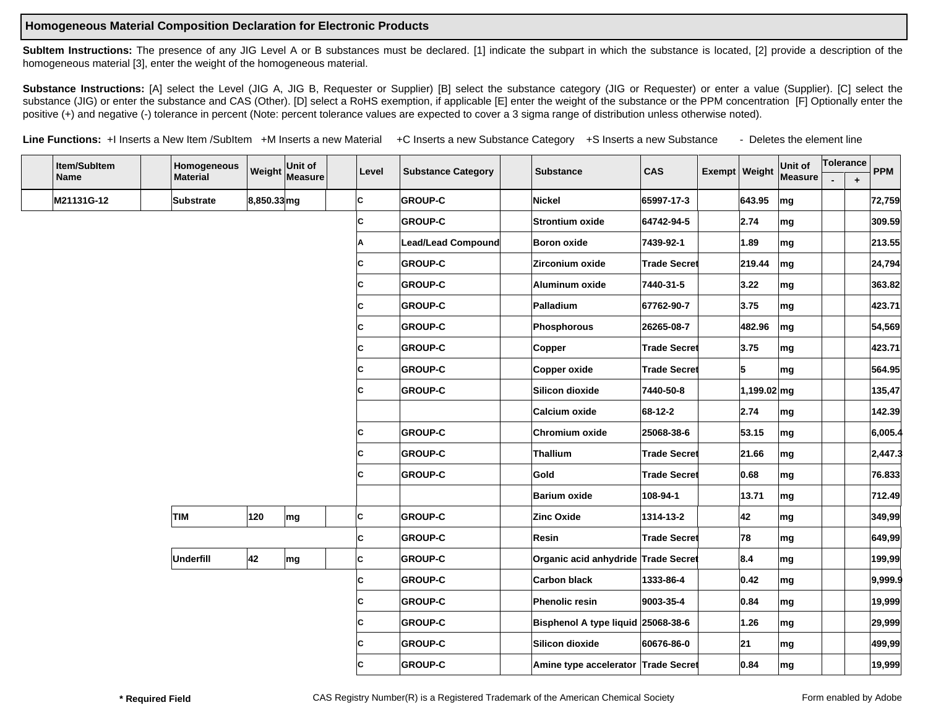## **Homogeneous Material Composition Declaration for Electronic Products**

SubItem Instructions: The presence of any JIG Level A or B substances must be declared. [1] indicate the subpart in which the substance is located, [2] provide a description of the homogeneous material [3], enter the weight of the homogeneous material.

Substance Instructions: [A] select the Level (JIG A, JIG B, Requester or Supplier) [B] select the substance category (JIG or Requester) or enter a value (Supplier). [C] select the substance (JIG) or enter the substance and CAS (Other). [D] select a RoHS exemption, if applicable [E] enter the weight of the substance or the PPM concentration [F] Optionally enter the positive (+) and negative (-) tolerance in percent (Note: percent tolerance values are expected to cover a 3 sigma range of distribution unless otherwise noted).

Line Functions: +I Inserts a New Item /SubItem +M Inserts a new Material +C Inserts a new Substance Category +S Inserts a new Substance - Deletes the element line

| Item/SubItem | Homogeneous     |             | Weight Unit of<br>Measure | Level | <b>Substance Category</b> | <b>Substance</b>                    | CAS                 | Exempt Weight | Unit of<br>Measure       | Tolerance |           | <b>PPM</b> |
|--------------|-----------------|-------------|---------------------------|-------|---------------------------|-------------------------------------|---------------------|---------------|--------------------------|-----------|-----------|------------|
| <b>Name</b>  | <b>Material</b> |             |                           |       |                           |                                     |                     |               |                          |           | $\ddot{}$ |            |
| M21131G-12   | Substrate       | 8,850.33 mg |                           | lc.   | <b>GROUP-C</b>            | Nickel                              | 65997-17-3          | 643.95        | mg                       |           |           | 72,759     |
|              |                 |             |                           | lc.   | <b>GROUP-C</b>            | Strontium oxide                     | 64742-94-5          | 2.74          | mg                       |           |           | 309.59     |
|              |                 |             |                           | Α     | <b>Lead/Lead Compound</b> | <b>Boron oxide</b>                  | 7439-92-1           | 1.89          | mg                       |           |           | 213.55     |
|              |                 |             |                           | lc.   | <b>GROUP-C</b>            | Zirconium oxide                     | <b>Trade Secret</b> | 219.44        | mg                       |           |           | 24,794     |
|              |                 |             |                           | IC.   | <b>GROUP-C</b>            | Aluminum oxide                      | 7440-31-5           | 3.22          | mg                       |           |           | 363.82     |
|              |                 |             |                           | lc.   | <b>GROUP-C</b>            | Palladium                           | 67762-90-7          | 3.75          | mg                       |           |           | 423.71     |
|              |                 |             |                           | IC.   | <b>GROUP-C</b>            | Phosphorous                         | 26265-08-7          | 482.96        | $\mathsf{m}\mathsf{g}$   |           |           | 54,569     |
|              |                 |             |                           | lc.   | <b>GROUP-C</b>            | Copper                              | <b>Trade Secret</b> | 3.75          | $\mathsf{Im} \mathsf{g}$ |           |           | 423.71     |
|              |                 |             |                           | С     | <b>GROUP-C</b>            | Copper oxide                        | <b>Trade Secret</b> | 5             | mg                       |           |           | 564.95     |
|              |                 |             |                           | lc.   | <b>GROUP-C</b>            | Silicon dioxide                     | 7440-50-8           | $1,199.02$ mg |                          |           |           | 135,47     |
|              |                 |             |                           |       |                           | Calcium oxide                       | 68-12-2             | 2.74          | mg                       |           |           | 142.39     |
|              |                 |             |                           | lc.   | <b>GROUP-C</b>            | Chromium oxide                      | 25068-38-6          | 53.15         | mg                       |           |           | 6,005.4    |
|              |                 |             |                           | lc.   | <b>GROUP-C</b>            | <b>Thallium</b>                     | <b>Trade Secret</b> | 21.66         | mg                       |           |           | 2,447.3    |
|              |                 |             |                           | lc.   | <b>GROUP-C</b>            | Gold                                | <b>Trade Secret</b> | 0.68          | mg                       |           |           | 76.833     |
|              |                 |             |                           |       |                           | <b>Barium oxide</b>                 | 108-94-1            | 13.71         | mg                       |           |           | 712.49     |
|              | TIM             | 120         | mg                        | lc.   | <b>GROUP-C</b>            | Zinc Oxide                          | 1314-13-2           | 42            | mg                       |           |           | 349,99     |
|              |                 |             |                           | lc.   | <b>GROUP-C</b>            | Resin                               | <b>Trade Secret</b> | 78            | mg                       |           |           | 649,99     |
|              | Underfill       | 42          | mg                        | lc.   | <b>GROUP-C</b>            | Organic acid anhydride Trade Secret |                     | 8.4           | mg                       |           |           | 199,99     |
|              |                 |             |                           | lc.   | <b>GROUP-C</b>            | <b>Carbon black</b>                 | 1333-86-4           | 0.42          | mg                       |           |           | 9,999.9    |
|              |                 |             |                           | lc.   | <b>GROUP-C</b>            | Phenolic resin                      | 9003-35-4           | 0.84          | mg                       |           |           | 19,999     |
|              |                 |             |                           | lc.   | <b>GROUP-C</b>            | Bisphenol A type liquid 25068-38-6  |                     | 1.26          | mg                       |           |           | 29,999     |
|              |                 |             |                           | lc.   | <b>GROUP-C</b>            | Silicon dioxide                     | 60676-86-0          | 21            | mg                       |           |           | 499,99     |
|              |                 |             |                           | C     | <b>GROUP-C</b>            | Amine type accelerator Trade Secret |                     | 0.84          | mg                       |           |           | 19,999     |